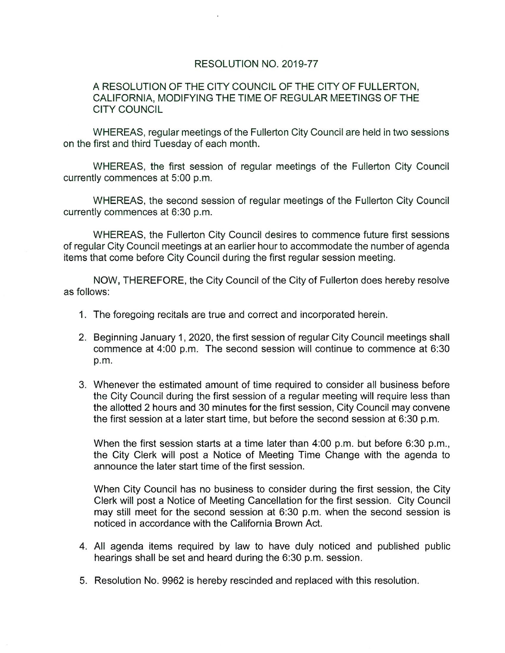## RESOLUTION NO. 2019-77

## A RESOLUTION OF THE CITY COUNCIL OF THE CITY OF FULLERTON, CALIFORNIA, MODIFYING THE TIME OF REGULAR MEETINGS OF THE CITY COUNCIL

WHEREAS, regular meetings of the Fullerton City Council are held in two sessions on the first and third Tuesday of each month.

WHEREAS, the first session of regular meetings of the Fullerton City Council currently commences at 5:00 p.m.

WHEREAS, the second session of regular meetings of the Fullerton City Council currently commences at 6:30 p.m.

WHEREAS, the Fullerton City Council desires to commence future first sessions of regular City Council meetings at an earlier hour to accommodate the number of agenda items that come before City Council during the first regular session meeting.

NOW, THEREFORE, the City Council of the City of Fullerton does hereby resolve as follows:

- 1. The foregoing recitals are true and correct and incorporated herein.
- 2. Beginning January 1, 2020, the first session of regular City Council meetings shall commence at 4:00 p.m. The second session will continue to commence at 6:30 p. m.
- 3. Whenever the estimated amount of time required to consider all business before the City Council during the first session of a regular meeting will require less than the allotted 2 hours and 30 minutes for the first session, City Council may convene the first session at a later start time, but before the second session at 6:30 p.m.

When the first session starts at a time later than 4:00 p.m. but before 6:30 p.m., the City Clerk will post a Notice of Meeting Time Change with the agenda to announce the later start time of the first session.

When City Council has no business to consider during the first session, the City Clerk will post a Notice of Meeting Cancellation for the first session. City Council may still meet for the second session at 6:30 p.m. when the second session is noticed in accordance with the California Brown Act.

- 4. All agenda items required by law to have duly noticed and published public hearings shall be set and heard during the 6:30 p.m. session.
- 5. Resolution No. 9962 is hereby rescinded and replaced with this resolution.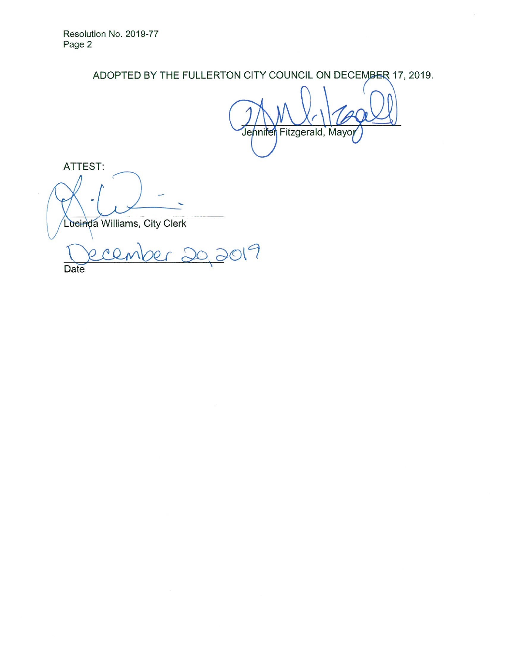ADOPTED BY THE FULLERTON CITY COUNCIL ON DECEMBER 17, 2019.

 $V \setminus X$ Jennifer Fitzgerald, Mayo

 $\mathcal{R}^{\mathcal{C}}$ 

ATTEST:

Lueinda Williams, City Clerk

 $\overline{a}$ cember 20, 2019 Date